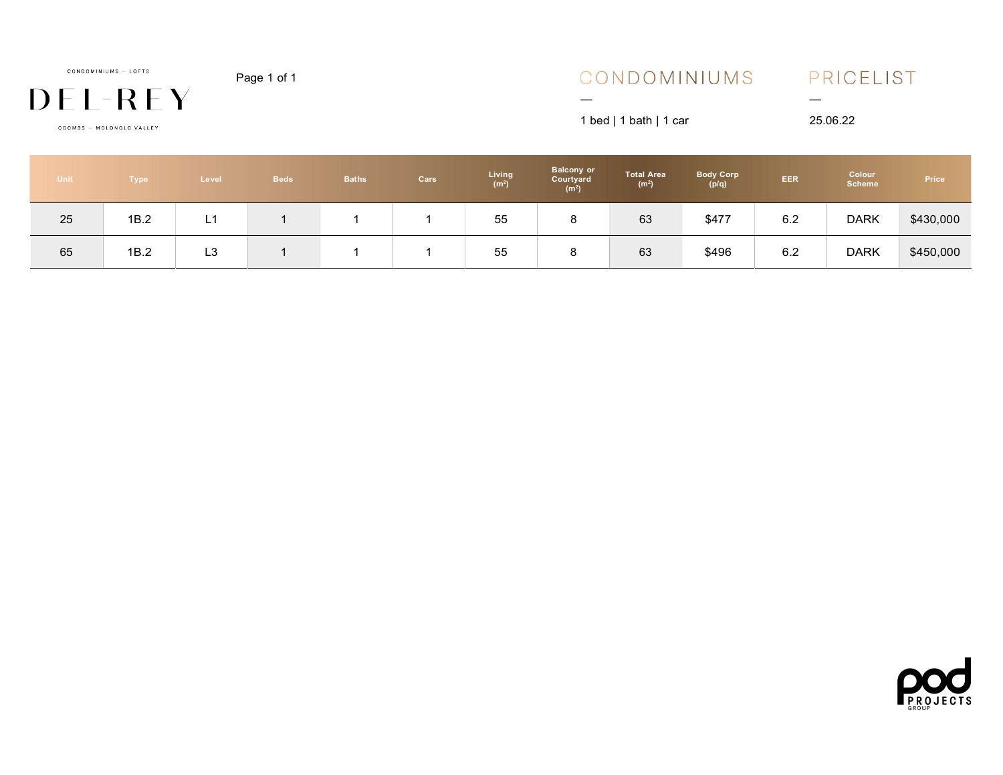DEL-REY

COOMBS - MOLONGLO VALLEY

## Page 1 of 1  $\text{COMDOMINIUMS}$   $\text{PRICELIS1}$ <br>-  $\text{1 bed}$  | 1 bath | 1 car  $\text{25.06.22}$

| Unit | Type | Level             | Beds | <b>Baths</b> | Cars | Living<br>(m <sup>2</sup> ) | <b>Balcony or</b><br>Courtyard<br>(m <sup>2</sup> ) | <b>Total Area</b><br>(m <sup>2</sup> ) | <b>Body Corp</b><br>(p/q) | EER | Colour<br>Scheme | Price     |
|------|------|-------------------|------|--------------|------|-----------------------------|-----------------------------------------------------|----------------------------------------|---------------------------|-----|------------------|-----------|
| 25   | 1B.2 | - 1<br><u>ы к</u> |      |              |      | 55                          |                                                     | 63                                     | \$477                     | 6.2 | <b>DARK</b>      | \$430,000 |
| 65   | 1B.2 | L <sub>3</sub>    |      |              |      | 55                          | O                                                   | 63                                     | \$496                     | 6.2 | <b>DARK</b>      | \$450,000 |

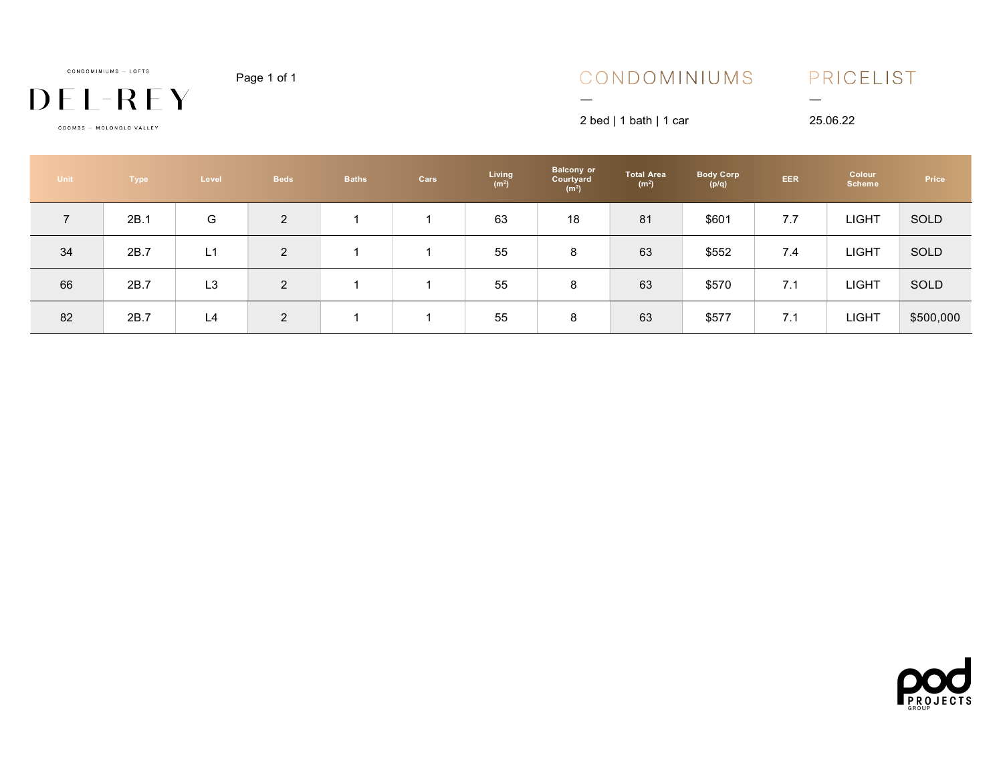DEL-REY

COOMBS - MOLONGLO VALLEY

# Page 1 of 1 — — 2 bed | 1 bath | 1 car <sup>25</sup>.06.22

| <b>Unit</b>    | Type | Level          | <b>Beds</b>    | <b>Baths</b> | Cars | Living<br>$(m^2)$ | Balcony or<br>Courtyard<br>(m <sup>2</sup> ) | <b>Total Area</b><br>(m <sup>2</sup> ) | <b>Body Corp</b><br>(p/q) | EER | Colour<br><b>Scheme</b> | Price     |
|----------------|------|----------------|----------------|--------------|------|-------------------|----------------------------------------------|----------------------------------------|---------------------------|-----|-------------------------|-----------|
| $\overline{7}$ | 2B.1 | G              | $\overline{2}$ |              |      | 63                | 18                                           | 81                                     | \$601                     | 7.7 | <b>LIGHT</b>            | SOLD      |
| 34             | 2B.7 | L1             | $\overline{2}$ |              |      | 55                | 8                                            | 63                                     | \$552                     | 7.4 | <b>LIGHT</b>            | SOLD      |
| 66             | 2B.7 | L3             | $\overline{2}$ |              |      | 55                | 8                                            | 63                                     | \$570                     | 7.1 | <b>LIGHT</b>            | SOLD      |
| 82             | 2B.7 | L <sub>4</sub> | $\overline{2}$ |              |      | 55                | 8                                            | 63                                     | \$577                     | 7.1 | <b>LIGHT</b>            | \$500,000 |

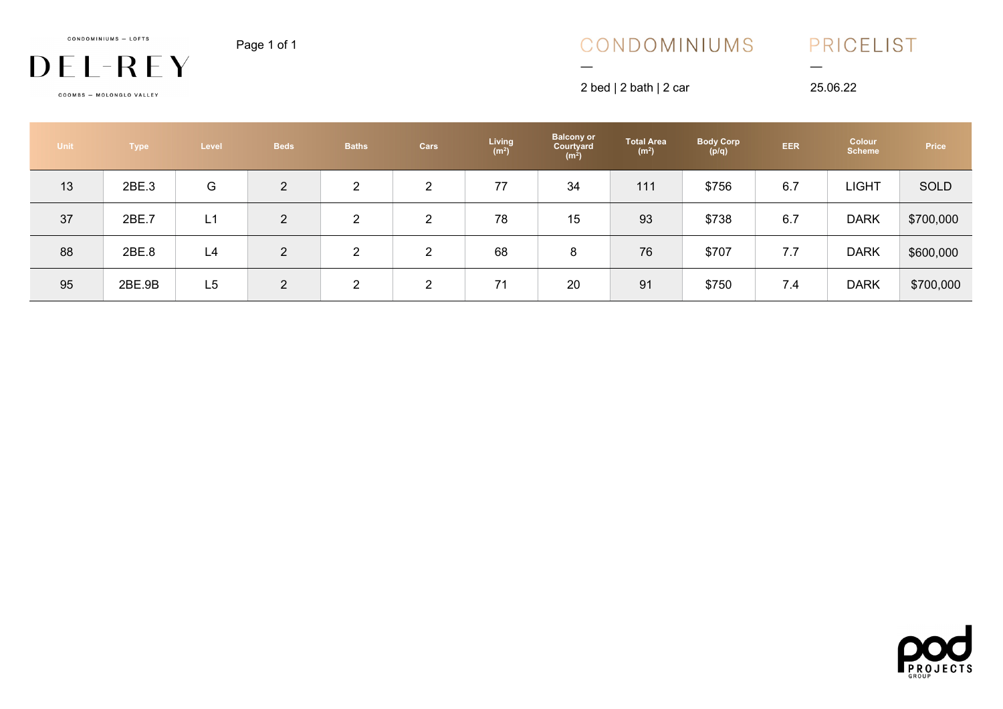

COOMBS - MOLONGLO VALLEY

#### CONDOMINIUMS

PRICELIST

2 bed | 2 bath | 2 car

—

25.06.22

—

| <b>Unit</b> | <b>Type</b> | Level | <b>Beds</b>    | <b>Baths</b>   | Cars           | Living<br>(m <sup>2</sup> ) | <b>Balcony or</b><br>Courtyard<br>(m <sup>2</sup> ) | <b>Total Area</b><br>(m <sup>2</sup> ) | <b>Body Corp</b><br>(p/q) | <b>EER</b> | Colour<br><b>Scheme</b> | Price       |
|-------------|-------------|-------|----------------|----------------|----------------|-----------------------------|-----------------------------------------------------|----------------------------------------|---------------------------|------------|-------------------------|-------------|
| 13          | 2BE.3       | G     | $\overline{2}$ | $\overline{2}$ | $\overline{2}$ | 77                          | 34                                                  | 111                                    | \$756                     | 6.7        | <b>LIGHT</b>            | <b>SOLD</b> |
| 37          | 2BE.7       | L1    | $\overline{2}$ | $\overline{2}$ | $\overline{2}$ | 78                          | 15                                                  | 93                                     | \$738                     | 6.7        | <b>DARK</b>             | \$700,000   |
| 88          | 2BE.8       | L4    | $\overline{2}$ | 2              | $\overline{2}$ | 68                          | 8                                                   | 76                                     | \$707                     | 7.7        | <b>DARK</b>             | \$600,000   |
| 95          | 2BE.9B      | L5    | $\overline{2}$ | $\overline{2}$ | $\overline{2}$ | 71                          | 20                                                  | 91                                     | \$750                     | 7.4        | <b>DARK</b>             | \$700,000   |

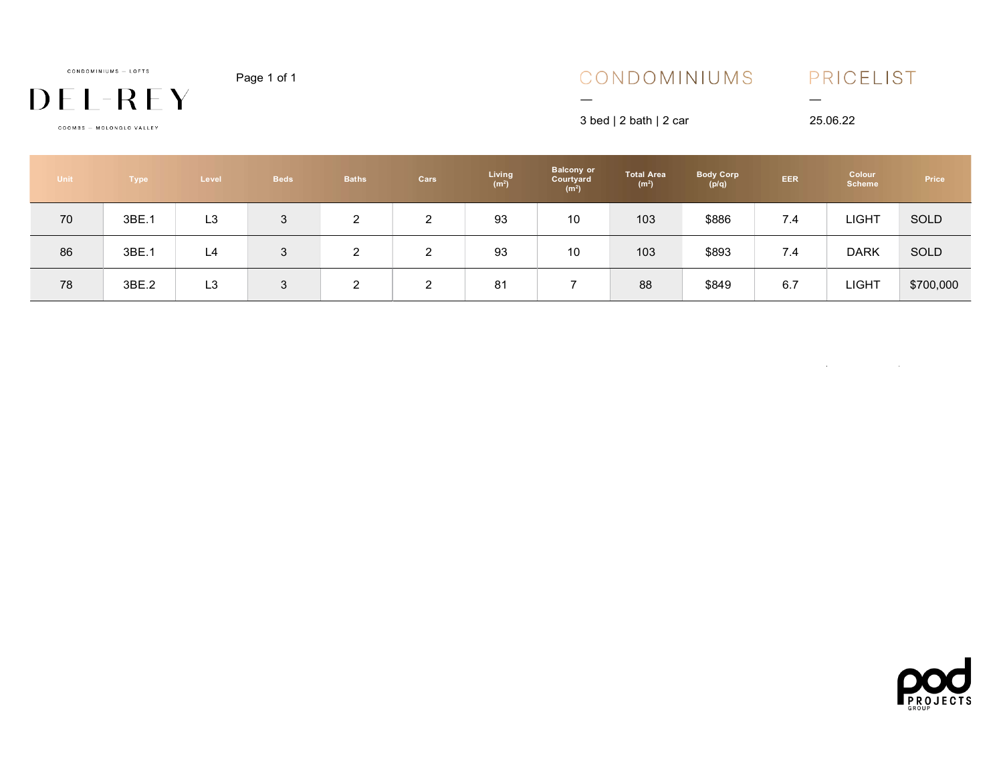DEL-REY

COOMBS - MOLONGLO VALLEY

Page 1 of 1 — — 3 bed | 2 bath | 2 car <sup>25</sup>.06.22

| <b>Unit</b> | <b>Type</b> | Level          | <b>Beds</b> | <b>Baths</b>   | Cars           | Living<br>$(m^2)$ | Balcony or<br>Courtyard<br>(m <sup>2</sup> ) | Total Area<br>$(m^2)$ | <b>Body Corp</b><br>(p/q) | EER | Colour<br>Scheme | Price     |
|-------------|-------------|----------------|-------------|----------------|----------------|-------------------|----------------------------------------------|-----------------------|---------------------------|-----|------------------|-----------|
| 70          | 3BE.1       | L <sub>3</sub> | 3           |                | $\overline{2}$ | 93                | 10                                           | 103                   | \$886                     | 7.4 | <b>LIGHT</b>     | SOLD      |
| 86          | 3BE.1       | L4             | 3           | $\overline{c}$ | $\overline{2}$ | 93                | 10                                           | 103                   | \$893                     | 7.4 | <b>DARK</b>      | SOLD      |
| 78          | 3BE.2       | L <sub>3</sub> |             |                | $\overline{2}$ | 81                |                                              | 88                    | \$849                     | 6.7 | <b>LIGHT</b>     | \$700,000 |



 $\mathcal{L}(\mathcal{A})$  and  $\mathcal{L}(\mathcal{A})$  and  $\mathcal{L}(\mathcal{A})$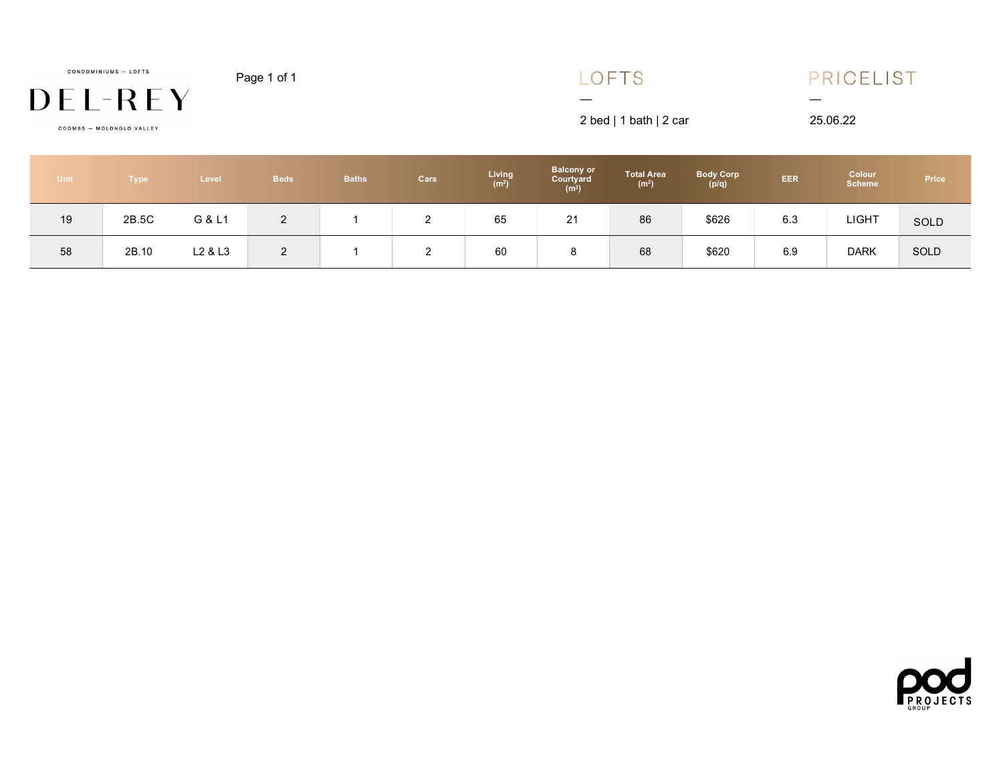Page 1 of 1

### DEL-REY

COOMBS - MOLONGLO VALLEY

#### LOFTS

#### PRICELIST — —

2 bed | 1 bath | 2 car 25.06.22

| <b>Unit</b> | <b>Type</b> | Level   | <b>Beds</b>   | <b>Baths</b> | Cars               | Living<br>( $m2$ ) | Balcony or<br>Courtyard<br>(m <sup>2</sup> ) | <b>Total Area</b><br>(m <sup>2</sup> ) | <b>Body Corp</b><br>(p/q) | EER | Colour       | Price |
|-------------|-------------|---------|---------------|--------------|--------------------|--------------------|----------------------------------------------|----------------------------------------|---------------------------|-----|--------------|-------|
| 19          | 2B.5C       | G & L1  | $\Omega$<br>∼ |              | $\mathcal{D}$<br>∠ | 65                 | 21                                           | 86                                     | \$626                     | 6.3 | <b>LIGHT</b> | SOLD  |
| 58          | 2B.10       | L2 & L3 | $\Omega$<br>∠ |              | <u>_</u>           | 60                 | 8                                            | 68                                     | \$620                     | 6.9 | <b>DARK</b>  | SOLD  |